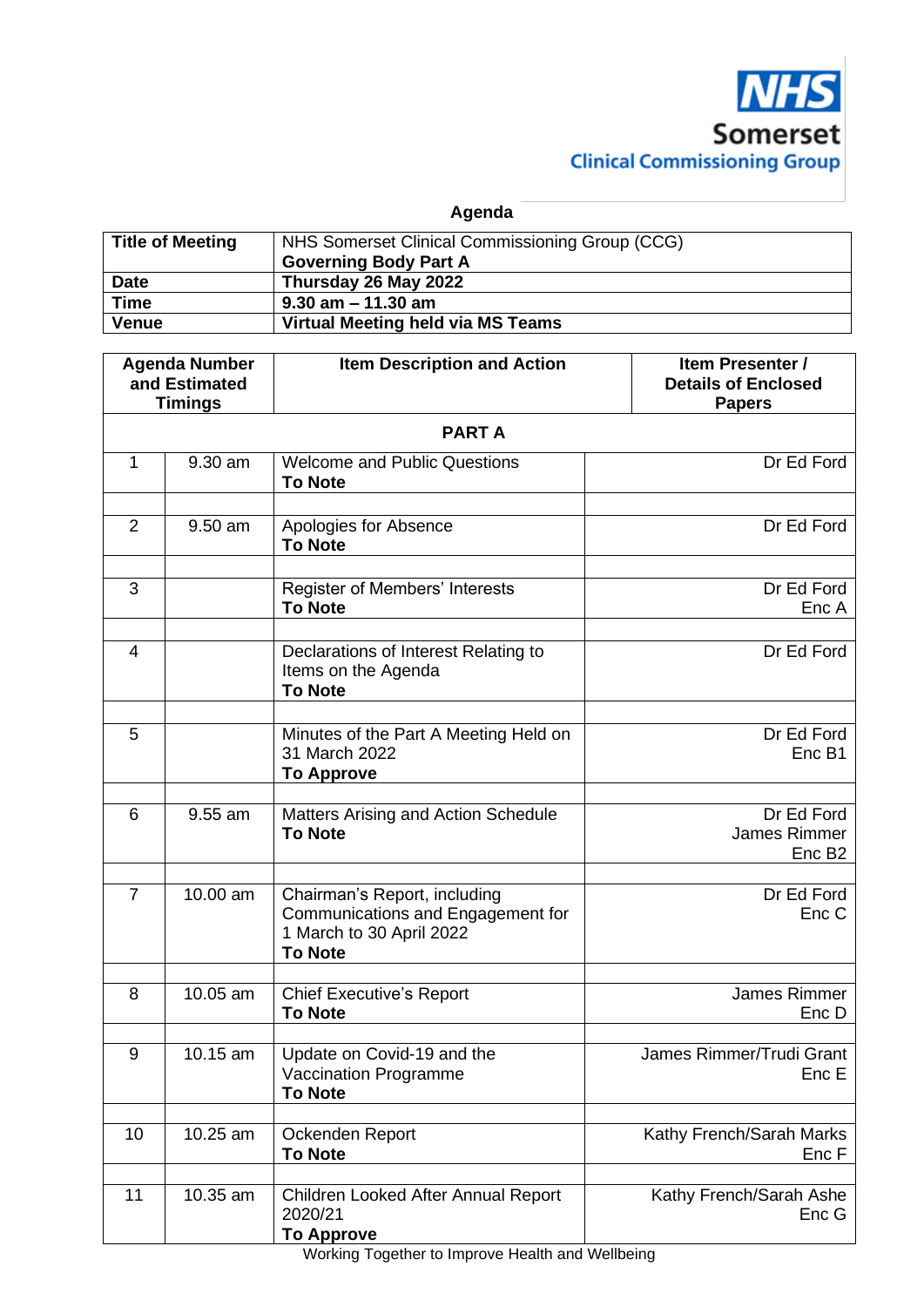

**Agenda**

| <b>Title of Meeting</b> | NHS Somerset Clinical Commissioning Group (CCG)<br><b>Governing Body Part A</b> |
|-------------------------|---------------------------------------------------------------------------------|
| <b>Date</b>             | Thursday 26 May 2022                                                            |
| <b>Time</b>             | $9.30$ am $-11.30$ am                                                           |
| <b>Venue</b>            | Virtual Meeting held via MS Teams                                               |

| <b>Agenda Number</b><br>and Estimated<br><b>Timings</b> |          | <b>Item Description and Action</b>                                                                              | Item Presenter /<br><b>Details of Enclosed</b><br><b>Papers</b> |  |  |
|---------------------------------------------------------|----------|-----------------------------------------------------------------------------------------------------------------|-----------------------------------------------------------------|--|--|
| <b>PARTA</b>                                            |          |                                                                                                                 |                                                                 |  |  |
| 1                                                       | 9.30 am  | <b>Welcome and Public Questions</b><br><b>To Note</b>                                                           | Dr Ed Ford                                                      |  |  |
| $\overline{2}$                                          | 9.50 am  | Apologies for Absence<br><b>To Note</b>                                                                         | Dr Ed Ford                                                      |  |  |
| 3                                                       |          | Register of Members' Interests<br><b>To Note</b>                                                                | Dr Ed Ford<br>Enc A                                             |  |  |
| 4                                                       |          | Declarations of Interest Relating to<br>Items on the Agenda<br><b>To Note</b>                                   | Dr Ed Ford                                                      |  |  |
| 5                                                       |          | Minutes of the Part A Meeting Held on<br>31 March 2022<br><b>To Approve</b>                                     | Dr Ed Ford<br>Enc B1                                            |  |  |
| 6                                                       | 9.55 am  | Matters Arising and Action Schedule<br><b>To Note</b>                                                           | Dr Ed Ford<br>James Rimmer<br>Enc B <sub>2</sub>                |  |  |
| $\overline{7}$                                          | 10.00 am | Chairman's Report, including<br>Communications and Engagement for<br>1 March to 30 April 2022<br><b>To Note</b> | Dr Ed Ford<br>Enc C                                             |  |  |
| 8                                                       | 10.05 am | <b>Chief Executive's Report</b><br><b>To Note</b>                                                               | James Rimmer<br>Enc D                                           |  |  |
| 9                                                       | 10.15 am | Update on Covid-19 and the<br>Vaccination Programme<br><b>To Note</b>                                           | James Rimmer/Trudi Grant<br>Enc E                               |  |  |
| 10                                                      | 10.25 am | Ockenden Report<br><b>To Note</b>                                                                               | Kathy French/Sarah Marks<br>Enc F                               |  |  |
| 11                                                      | 10.35 am | Children Looked After Annual Report<br>2020/21<br><b>To Approve</b>                                             | Kathy French/Sarah Ashe<br>Enc G                                |  |  |

Working Together to Improve Health and Wellbeing